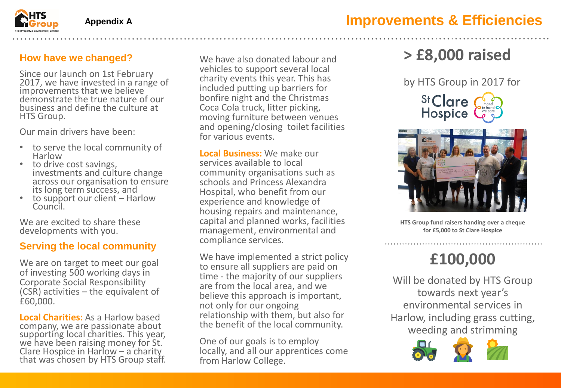

**How have we changed?**

Since our launch on 1st February 2017, we have invested in a range of improvements that we believe demonstrate the true nature of our business and define the culture at HTS Group.

Our main drivers have been:

- to serve the local community of Harlow
- to drive cost savings, investments and culture change across our organisation to ensure its long term success, and
- to support our client Harlow Council.

We are excited to share these developments with you.

#### **Serving the local community**

We are on target to meet our goal of investing 500 working days in Corporate Social Responsibility (CSR) activities – the equivalent of £60,000.

**Local Charities:** As a Harlow based company, we are passionate about supporting local charities. This year, we have been raising money for St. Clare Hospice in Harlow – a charity that was chosen by HTS Group staff.

We have also donated labour and vehicles to support several local charity events this year. This has included putting up barriers for bonfire night and the Christmas Coca Cola truck, litter picking, moving furniture between venues and opening/closing toilet facilities for various events.

**Local Business:** We make our services available to local community organisations such as schools and Princess Alexandra Hospital, who benefit from our experience and knowledge of housing repairs and maintenance, capital and planned works, facilities management, environmental and compliance services.

We have implemented a strict policy to ensure all suppliers are paid on time - the majority of our suppliers are from the local area, and we believe this approach is important, not only for our ongoing relationship with them, but also for the benefit of the local community.

One of our goals is to employ locally, and all our apprentices come from Harlow College.

# **> £8,000 raised**

by HTS Group in 2017 for





**HTS Group fund raisers handing over a cheque for £5,000 to St Clare Hospice**

# **£100,000**

Will be donated by HTS Group towards next year's environmental services in Harlow, including grass cutting, weeding and strimming

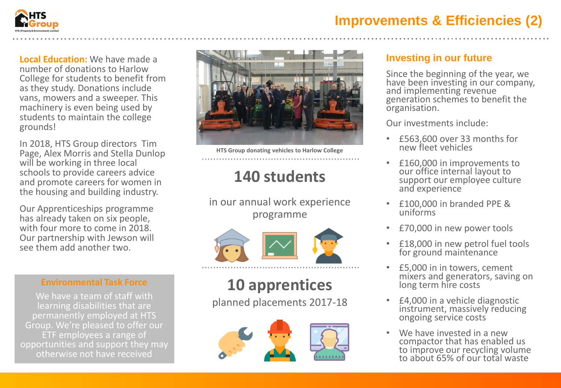

### **Improvements & Efficiencies (2)**

**Local Education:** We have made a number of donations to Harlow College for students to benefit from as they study. Donations include vans, mowers and a sweeper. This machinery is even being used by students to maintain the college grounds!

In 2018, HTS Group directors Tim Page, Alex Morris and Stella Dunlop will be working in three local schools to provide careers advice and promote careers for women in the housing and building industry.

Our Apprenticeships programme has already taken on six people, with four more to come in 2018. Our partnership with Jewson will see them add another two.

#### **Environmental Task Force**

We have a team of staff with learning disabilities that are permanently employed at HTS Group. We're pleased to offer our ETF employees a range of opportunities and support they may otherwise not have received



**HTS Group donating vehicles to Harlow College**

### **140 students**

in our annual work experience programme



# **10 apprentices**

planned placements 2017-18



#### **Investing in our future**

Since the beginning of the year, we have been investing in our company, and implementing revenue generation schemes to benefit the organisation.

Our investments include:

- £563,600 over 33 months for new fleet vehicles
- £160,000 in improvements to our office internal layout to support our employée culture and experience
- £100,000 in branded PPE & uniforms
- £70,000 in new power tools
- £18,000 in new petrol fuel tools for ground maintenance
- £5,000 in in towers, cement mixers and generators, saving on long term hire costs
- £4,000 in a vehicle diagnostic instrument, massively reducing ongoing service costs
- We have invested in a new compactor that has enabled us to improve our recycling volume to about 65% of our total waste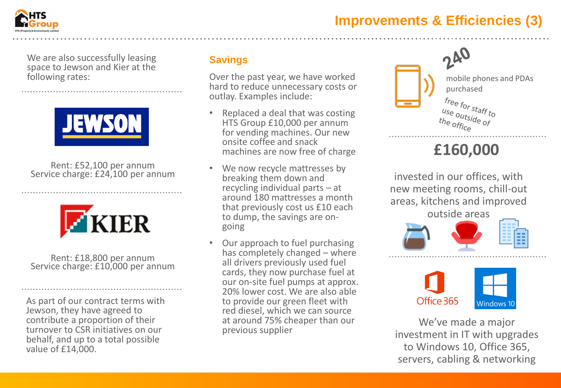### **Improvements & Efficiencies (3)**



We are also successfully leasing space to Jewson and Kier at the following rates:



Rent: £52,100 per annum Service charge: £24,100 per annum



Rent: £18,800 per annum Service charge: £10,000 per annum

As part of our contract terms with Jewson, they have agreed to contribute a proportion of their turnover to CSR initiatives on our behalf, and up to a total possible value of £14,000.

#### **Savings**

Over the past year, we have worked hard to reduce unnecessary costs or outlay. Examples include:

- Replaced a deal that was costing HTS Group £10,000 per annum for vending machines. Our new onsite coffee and snack machines are now free of charge
- We now recycle mattresses by breaking them down and recycling individual parts – at around 180 mattresses a month that previously cost us £10 each to dump, the savings are ongoing
- Our approach to fuel purchasing has completely changed – where all drivers previously used fuel cards, they now purchase fuel at our on-site fuel pumps at approx. 20% lower cost. We are also able to provide our green fleet with red diesel, which we can source at around 75% cheaper than our previous supplier



## **£160,000**

invested in our offices, with new meeting rooms, chill-out areas, kitchens and improved outside areas





We've made a major investment in IT with upgrades to Windows 10, Office 365, servers, cabling & networking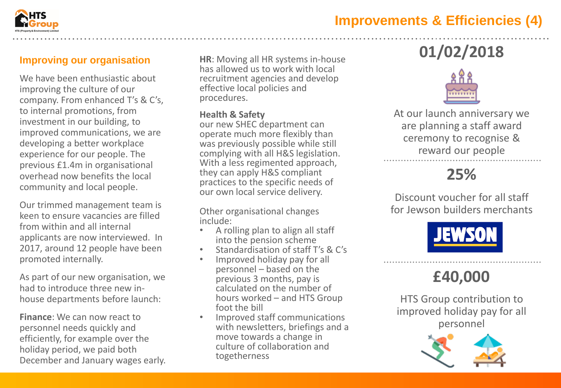

#### **Improving our organisation**

We have been enthusiastic about improving the culture of our company. From enhanced T's & C's, to internal promotions, from investment in our building, to improved communications, we are developing a better workplace experience for our people. The previous £1.4m in organisational overhead now benefits the local community and local people.

Our trimmed management team is keen to ensure vacancies are filled from within and all internal applicants are now interviewed. In 2017, around 12 people have been promoted internally.

As part of our new organisation, we had to introduce three new inhouse departments before launch:

**Finance**: We can now react to personnel needs quickly and efficiently, for example over the holiday period, we paid both December and January wages early. **HR**: Moving all HR systems in-house has allowed us to work with local recruitment agencies and develop effective local policies and procedures.

#### **Health & Safety**

our new SHEC department can operate much more flexibly than was previously possible while still complying with all H&S legislation. With a less regimented approach, they can apply H&S compliant practices to the specific needs of our own local service delivery.

Other organisational changes include:

- A rolling plan to align all staff into the pension scheme
- Standardisation of staff T's & C's
- Improved holiday pay for all personnel – based on the previous 3 months, pay is calculated on the number of hours worked – and HTS Group foot the bill
- Improved staff communications with newsletters, briefings and a move towards a change in culture of collaboration and togetherness

# **01/02/2018**



At our launch anniversary we are planning a staff award ceremony to recognise & reward our people

### **25%**

Discount voucher for all staff for Jewson builders merchants



### **£40,000**

HTS Group contribution to improved holiday pay for all personnel

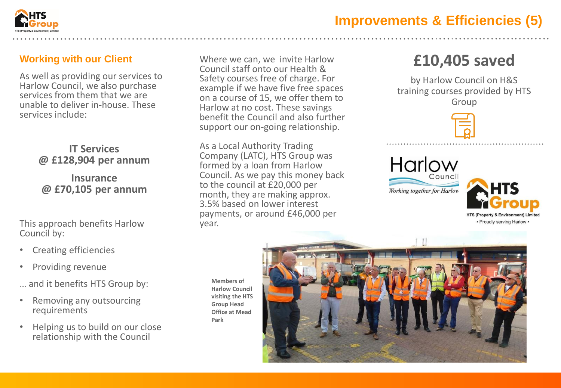

#### **Working with our Client**

As well as providing our services to Harlow Council, we also purchase services from them that we are unable to deliver in-house. These services include:

#### **IT Services @ £128,904 per annum**

#### **Insurance @ £70,105 per annum**

This approach benefits Harlow Council by:

- Creating efficiencies
- Providing revenue
- … and it benefits HTS Group by:
- Removing any outsourcing requirements
- Helping us to build on our close relationship with the Council

Where we can, we invite Harlow Council staff onto our Health & Safety courses free of charge. For example if we have five free spaces on a course of 15, we offer them to Harlow at no cost. These savings benefit the Council and also further support our on-going relationship.

As a Local Authority Trading Company (LATC), HTS Group was formed by a loan from Harlow Council. As we pay this money back to the council at £20,000 per month, they are making approx. 3.5% based on lower interest payments, or around £46,000 per year.

## **£10,405 saved**

by Harlow Council on H&S training courses provided by HTS Group



### Harlow Counci Working together for Harlow



**Members of Harlow Council visiting the HTS Group Head Office at Mead Park**